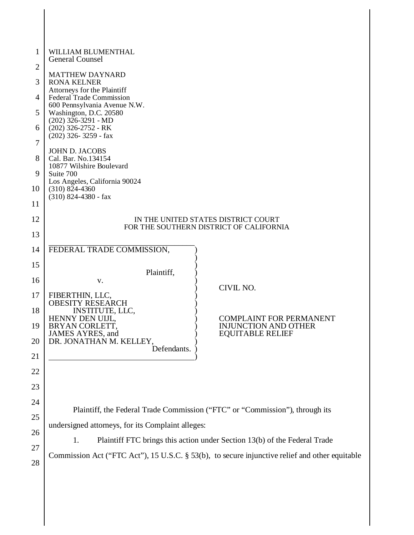| 1              | WILLIAM BLUMENTHAL<br><b>General Counsel</b>                                                   |  |  |
|----------------|------------------------------------------------------------------------------------------------|--|--|
| $\overline{2}$ |                                                                                                |  |  |
| 3              | <b>MATTHEW DAYNARD</b><br><b>RONA KELNER</b>                                                   |  |  |
| $\overline{4}$ | Attorneys for the Plaintiff<br><b>Federal Trade Commission</b>                                 |  |  |
| 5              | 600 Pennsylvania Avenue N.W.<br>Washington, D.C. 20580                                         |  |  |
| 6              | $(202)$ 326-3291 - MD<br>$(202)$ 326-2752 - RK                                                 |  |  |
| 7              | $(202)$ 326-3259 - fax                                                                         |  |  |
| 8              | <b>JOHN D. JACOBS</b><br>Cal. Bar. No.134154<br>10877 Wilshire Boulevard                       |  |  |
| 9              | Suite 700                                                                                      |  |  |
| 10             | Los Angeles, California 90024<br>$(310) 824 - 4360$<br>$(310)$ 824-4380 - fax                  |  |  |
| 11             |                                                                                                |  |  |
| 12             | IN THE UNITED STATES DISTRICT COURT                                                            |  |  |
| 13             | FOR THE SOUTHERN DISTRICT OF CALIFORNIA                                                        |  |  |
| 14             | FEDERAL TRADE COMMISSION,                                                                      |  |  |
| 15             |                                                                                                |  |  |
| 16             | Plaintiff,<br>V.                                                                               |  |  |
| 17             | CIVIL NO.<br>FIBERTHIN, LLC,                                                                   |  |  |
|                | <b>OBESITY RESEARCH</b>                                                                        |  |  |
| 18             | <b>INSTITUTE, LLC,</b><br>HENNY DEN UIJL,<br><b>COMPLAINT FOR PERMANENT</b>                    |  |  |
| 19             | BRYAN CORLETT,<br><b>INJUNCTION AND OTHER</b><br>JAMES AYRES, and<br><b>EQUITABLE RELIEF</b>   |  |  |
| 20             | DR. JONATHAN M. KELLEY,                                                                        |  |  |
| 21             | Defendants.                                                                                    |  |  |
| 22             |                                                                                                |  |  |
| 23             |                                                                                                |  |  |
| 24             |                                                                                                |  |  |
|                | Plaintiff, the Federal Trade Commission ("FTC" or "Commission"), through its                   |  |  |
| 25             | undersigned attorneys, for its Complaint alleges:                                              |  |  |
| 26             | Plaintiff FTC brings this action under Section 13(b) of the Federal Trade<br>1.                |  |  |
| 27             | Commission Act ("FTC Act"), 15 U.S.C. § 53(b), to secure injunctive relief and other equitable |  |  |
| 28             |                                                                                                |  |  |
|                |                                                                                                |  |  |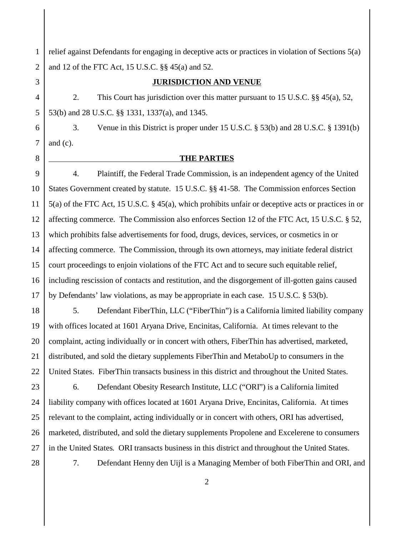1 2 relief against Defendants for engaging in deceptive acts or practices in violation of Sections 5(a) and 12 of the FTC Act, 15 U.S.C. §§ 45(a) and 52.

# **JURISDICTION AND VENUE**

2. This Court has jurisdiction over this matter pursuant to 15 U.S.C. §§ 45(a), 52, 53(b) and 28 U.S.C. §§ 1331, 1337(a), and 1345.

3. Venue in this District is proper under 15 U.S.C. § 53(b) and 28 U.S.C. § 1391(b) and (c).

#### **THE PARTIES**

9 10 11 12 13 14 15 16 17 4. Plaintiff, the Federal Trade Commission, is an independent agency of the United States Government created by statute. 15 U.S.C. §§ 41-58. The Commission enforces Section 5(a) of the FTC Act, 15 U.S.C. § 45(a), which prohibits unfair or deceptive acts or practices in or affecting commerce. The Commission also enforces Section 12 of the FTC Act, 15 U.S.C. § 52, which prohibits false advertisements for food, drugs, devices, services, or cosmetics in or affecting commerce. The Commission, through its own attorneys, may initiate federal district court proceedings to enjoin violations of the FTC Act and to secure such equitable relief, including rescission of contacts and restitution, and the disgorgement of ill-gotten gains caused by Defendants' law violations, as may be appropriate in each case. 15 U.S.C. § 53(b).

18 19 20 21 22 5. Defendant FiberThin, LLC ("FiberThin") is a California limited liability company with offices located at 1601 Aryana Drive, Encinitas, California. At times relevant to the complaint, acting individually or in concert with others, FiberThin has advertised, marketed, distributed, and sold the dietary supplements FiberThin and MetaboUp to consumers in the United States. FiberThin transacts business in this district and throughout the United States.

23 24 25 26 27 6. Defendant Obesity Research Institute, LLC ("ORI") is a California limited liability company with offices located at 1601 Aryana Drive, Encinitas, California. At times relevant to the complaint, acting individually or in concert with others, ORI has advertised, marketed, distributed, and sold the dietary supplements Propolene and Excelerene to consumers in the United States. ORI transacts business in this district and throughout the United States.

28

3

4

5

6

7

8

7. Defendant Henny den Uijl is a Managing Member of both FiberThin and ORI, and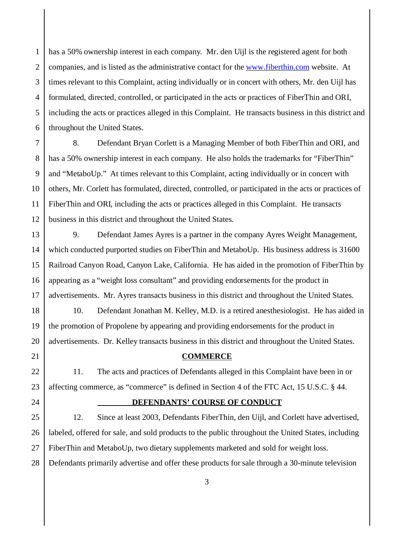1 2 3 4 5 6 has a 50% ownership interest in each company. Mr. den Uijl is the registered agent for both companies, and is listed as the administrative contact for the [www.fiberthin.com](http://www.fiberthin.com) website. At times relevant to this Complaint, acting individually or in concert with others, Mr. den Uijl has formulated, directed, controlled, or participated in the acts or practices of FiberThin and ORI, including the acts or practices alleged in this Complaint. He transacts business in this district and throughout the United States.

7 8 9 10 11 12 8. Defendant Bryan Corlett is a Managing Member of both FiberThin and ORI, and has a 50% ownership interest in each company. He also holds the trademarks for "FiberThin" and "MetaboUp." At times relevant to this Complaint, acting individually or in concert with others, Mr. Corlett has formulated, directed, controlled, or participated in the acts or practices of FiberThin and ORI, including the acts or practices alleged in this Complaint. He transacts business in this district and throughout the United States.

13 14 15 16 17 9. Defendant James Ayres is a partner in the company Ayres Weight Management, which conducted purported studies on FiberThin and MetaboUp. His business address is 31600 Railroad Canyon Road, Canyon Lake, California. He has aided in the promotion of FiberThin by appearing as a "weight loss consultant" and providing endorsements for the product in advertisements. Mr. Ayres transacts business in this district and throughout the United States.

18 19 20 10. Defendant Jonathan M. Kelley, M.D. is a retired anesthesiologist. He has aided in the promotion of Propolene by appearing and providing endorsements for the product in advertisements. Dr. Kelley transacts business in this district and throughout the United States.

## **COMMERCE**

11. The acts and practices of Defendants alleged in this Complaint have been in or affecting commerce, as "commerce" is defined in Section 4 of the FTC Act, 15 U.S.C. § 44.

## **DEFENDANTS' COURSE OF CONDUCT**

25 26 27 12. Since at least 2003, Defendants FiberThin, den Uijl, and Corlett have advertised, labeled, offered for sale, and sold products to the public throughout the United States, including FiberThin and MetaboUp, two dietary supplements marketed and sold for weight loss.

28 Defendants primarily advertise and offer these products for sale through a 30-minute television

3

21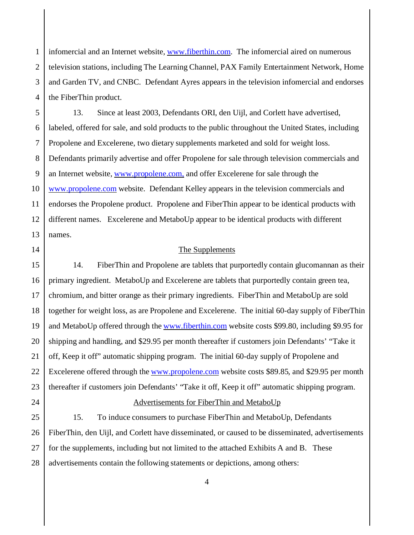1 2 3 infomercial and an Internet website, [www.fiberthin.com](http://www.fiberthin.com). The infomercial aired on numerous television stations, including The Learning Channel, PAX Family Entertainment Network, Home and Garden TV, and CNBC. Defendant Ayres appears in the television infomercial and endorses the FiberThin product.

13. Since at least 2003, Defendants ORI, den Uijl, and Corlett have advertised, labeled, offered for sale, and sold products to the public throughout the United States, including Propolene and Excelerene, two dietary supplements marketed and sold for weight loss. Defendants primarily advertise and offer Propolene for sale through television commercials and an Internet website, [www.propolene.com,](http://www.propolene.com,) and offer Excelerene for sale through the [www.propolene.com](http://www.propolene.com,) website. Defendant Kelley appears in the television commercials and endorses the Propolene product. Propolene and FiberThin appear to be identical products with different names. Excelerene and MetaboUp appear to be identical products with different names.

#### The Supplements

14. FiberThin and Propolene are tablets that purportedly contain glucomannan as their primary ingredient. MetaboUp and Excelerene are tablets that purportedly contain green tea, chromium, and bitter orange as their primary ingredients. FiberThin and MetaboUp are sold together for weight loss, as are Propolene and Excelerene. The initial 60-day supply of FiberThin and MetaboUp offered through the [www.fiberthin.com](http://www.fiberthin.com) website costs \$99.80, including \$9.95 for shipping and handling, and \$29.95 per month thereafter if customers join Defendants' "Take it off, Keep it off" automatic shipping program. The initial 60-day supply of Propolene and Excelerene offered through the [www.propolene.com](http://www.fiberthin.com) website costs \$89.85, and \$29.95 per month thereafter if customers join Defendants' "Take it off, Keep it off" automatic shipping program.

# Advertisements for FiberThin and MetaboUp

15. To induce consumers to purchase FiberThin and MetaboUp, Defendants FiberThin, den Uijl, and Corlett have disseminated, or caused to be disseminated, advertisements for the supplements, including but not limited to the attached Exhibits A and B. These advertisements contain the following statements or depictions, among others: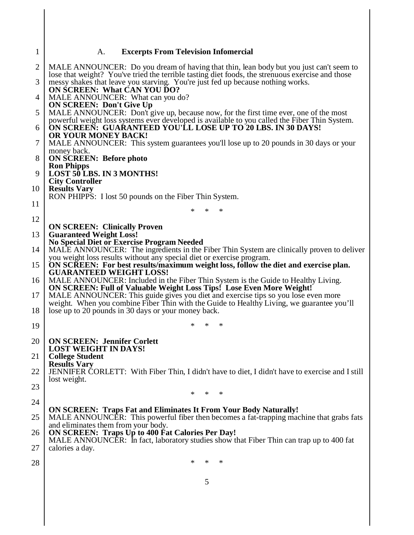| 1      | <b>Excerpts From Television Infomercial</b><br>A.                                                                                                                                                                                                    |  |  |
|--------|------------------------------------------------------------------------------------------------------------------------------------------------------------------------------------------------------------------------------------------------------|--|--|
| 2      | MALE ANNOUNCER: Do you dream of having that thin, lean body but you just can't seem to<br>lose that weight? You've tried the terrible tasting diet foods, the strenuous exercise and those                                                           |  |  |
| 3      | messy shakes that leave you starving. You're just fed up because nothing works.<br>ON SCREEN: What CAN YOU DO?                                                                                                                                       |  |  |
| 4      | MALE ANNOUNCER: What can you do?<br><b>ON SCREEN: Don't Give Up</b>                                                                                                                                                                                  |  |  |
| 5<br>6 | MALE ANNOUNCER: Don't give up, because now, for the first time ever, one of the most<br>powerful weight loss systems ever developed is available to you called the Fiber Thin System.<br>ON SCREEN: GUARANTEED YOU'LL LOSE UP TO 20 LBS. IN 30 DAYS! |  |  |
|        | OR YOUR MONEY BACK!                                                                                                                                                                                                                                  |  |  |
| 7      | MALE ANNOUNCER: This system guarantees you'll lose up to 20 pounds in 30 days or your<br>money back.                                                                                                                                                 |  |  |
| 8      | <b>ON SCREEN: Before photo</b><br><b>Ron Phipps</b>                                                                                                                                                                                                  |  |  |
| 9      | <b>LOST 50 LBS. IN 3 MONTHS!</b><br><b>City Controller</b>                                                                                                                                                                                           |  |  |
| 10     | <b>Results Vary</b><br>RON PHIPPS: I lost 50 pounds on the Fiber Thin System.                                                                                                                                                                        |  |  |
| 11     | $\ast$<br>∗<br>∗                                                                                                                                                                                                                                     |  |  |
| 12     | <b>ON SCREEN: Clinically Proven</b>                                                                                                                                                                                                                  |  |  |
| 13     | <b>Guaranteed Weight Loss!</b>                                                                                                                                                                                                                       |  |  |
| 14     | <b>No Special Diet or Exercise Program Needed</b><br>MALE ANNOUNCER: The ingredients in the Fiber Thin System are clinically proven to deliver                                                                                                       |  |  |
| 15     | you weight loss results without any special diet or exercise program.<br>ON SCREEN: For best results/maximum weight loss, follow the diet and exercise plan.                                                                                         |  |  |
| 16     | <b>GUARANTEED WEIGHT LOSS!</b><br>MALE ANNOUNCER: Included in the Fiber Thin System is the Guide to Healthy Living.                                                                                                                                  |  |  |
| 17     | <b>ON SCREEN: Full of Valuable Weight Loss Tips! Lose Even More Weight!</b>                                                                                                                                                                          |  |  |
| 18     | MALE ANNOUNCER: This guide gives you diet and exercise tips so you lose even more<br>weight. When you combine Fiber Thin with the Guide to Healthy Living, we guarantee you'll<br>lose up to 20 pounds in 30 days or your money back.                |  |  |
| 19     | *<br>∗                                                                                                                                                                                                                                               |  |  |
| 20     | <b>ON SCREEN: Jennifer Corlett</b><br><b>LOST WEIGHT IN DAYS!</b>                                                                                                                                                                                    |  |  |
| 21     | <b>College Student</b><br><b>Results Vary</b>                                                                                                                                                                                                        |  |  |
| 22     | JENNIFER CORLETT: With Fiber Thin, I didn't have to diet, I didn't have to exercise and I still<br>lost weight.                                                                                                                                      |  |  |
| 23     | $\ast$<br>$\ast$<br>∗                                                                                                                                                                                                                                |  |  |
| 24     |                                                                                                                                                                                                                                                      |  |  |
| 25     | <b>ON SCREEN: Traps Fat and Eliminates It From Your Body Naturally!</b><br>MALE ANNOUNCER: This powerful fiber then becomes a fat-trapping machine that grabs fats                                                                                   |  |  |
| 26     | and eliminates them from your body.<br><b>ON SCREEN:</b> Traps Up to 400 Fat Calories Per Day!                                                                                                                                                       |  |  |
| 27     | MALE ANNOUNCER: In fact, laboratory studies show that Fiber Thin can trap up to 400 fat<br>calories a day.                                                                                                                                           |  |  |
|        |                                                                                                                                                                                                                                                      |  |  |
| 28     | *<br>∗<br>∗                                                                                                                                                                                                                                          |  |  |
|        | 5                                                                                                                                                                                                                                                    |  |  |
|        |                                                                                                                                                                                                                                                      |  |  |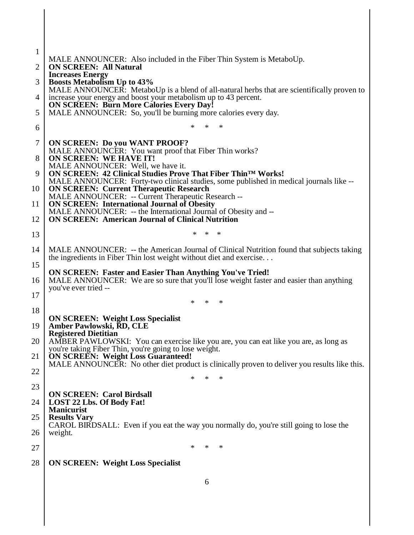| $\mathbf{1}$ | MALE ANNOUNCER: Also included in the Fiber Thin System is MetaboUp.                                                                                                                            |  |  |
|--------------|------------------------------------------------------------------------------------------------------------------------------------------------------------------------------------------------|--|--|
| 2            | <b>ON SCREEN: All Natural</b>                                                                                                                                                                  |  |  |
| 3            | <b>Increases Energy</b><br><b>Boosts Metabolism Up to 43%</b>                                                                                                                                  |  |  |
| 4            | MALE ANNOUNCER: MetaboUp is a blend of all-natural herbs that are scientifically proven to<br>increase your energy and boost your metabolism up to 43 percent.                                 |  |  |
| 5            | <b>ON SCREEN: Burn More Calories Every Day!</b><br>MALE ANNOUNCER: So, you'll be burning more calories every day.                                                                              |  |  |
| 6            | $\ast$<br>*<br>∗                                                                                                                                                                               |  |  |
| 7            | <b>ON SCREEN: Do you WANT PROOF?</b>                                                                                                                                                           |  |  |
| 8            | MALE ANNOUNCER: You want proof that Fiber Thin works?<br><b>ON SCREEN: WE HAVE IT!</b>                                                                                                         |  |  |
| 9            | MALE ANNOUNCER: Well, we have it.<br>ON SCREEN: 42 Clinical Studies Prove That Fiber Thin <sup>™</sup> Works!                                                                                  |  |  |
| 10           | MALE ANNOUNCER: Forty-two clinical studies, some published in medical journals like --<br><b>ON SCREEN: Current Therapeutic Research</b><br>MALE ANNOUNCER: -- Current Therapeutic Research -- |  |  |
| 11           | <b>ON SCREEN: International Journal of Obesity</b><br>MALE ANNOUNCER: -- the International Journal of Obesity and --                                                                           |  |  |
| 12           | <b>ON SCREEN: American Journal of Clinical Nutrition</b>                                                                                                                                       |  |  |
| 13           | *<br>*<br>∗                                                                                                                                                                                    |  |  |
| 14           | MALE ANNOUNCER: -- the American Journal of Clinical Nutrition found that subjects taking<br>the ingredients in Fiber Thin lost weight without diet and exercise                                |  |  |
| 15           | <b>ON SCREEN: Faster and Easier Than Anything You've Tried!</b>                                                                                                                                |  |  |
| 16           | MALE ANNOUNCER: We are so sure that you'll lose weight faster and easier than anything<br>you've ever tried --                                                                                 |  |  |
| 17           | *<br>$\ast$<br>∗                                                                                                                                                                               |  |  |
| 18           | <b>ON SCREEN: Weight Loss Specialist</b>                                                                                                                                                       |  |  |
| 19           | Amber Pawlowski, RD, CLE<br><b>Registered Dietitian</b>                                                                                                                                        |  |  |
| 20           | AMBER PAWLOWSKI: You can exercise like you are, you can eat like you are, as long as<br>you're taking Fiber Thin, you're going to lose weight.                                                 |  |  |
| 21           | <b>ON SCREEN: Weight Loss Guaranteed!</b><br>MALE ANNOUNCER: No other diet product is clinically proven to deliver you results like this.                                                      |  |  |
| 22           | $\ast$<br>*<br>*                                                                                                                                                                               |  |  |
| 23           | <b>ON SCREEN: Carol Birdsall</b>                                                                                                                                                               |  |  |
| 24           | LOST 22 Lbs. Of Body Fat!<br><b>Manicurist</b>                                                                                                                                                 |  |  |
| 25           | <b>Results Vary</b><br>CAROL BIRDSALL: Even if you eat the way you normally do, you're still going to lose the                                                                                 |  |  |
| 26           | weight.                                                                                                                                                                                        |  |  |
| 27           | ∗<br>∗<br>*                                                                                                                                                                                    |  |  |
| 28           | <b>ON SCREEN: Weight Loss Specialist</b>                                                                                                                                                       |  |  |
|              | 6                                                                                                                                                                                              |  |  |
|              |                                                                                                                                                                                                |  |  |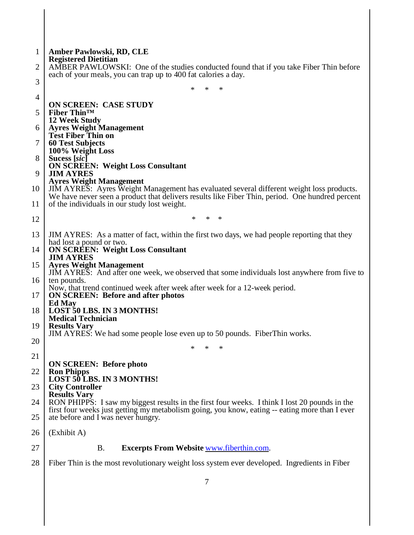| $\mathbf{1}$ | Amber Pawlowski, RD, CLE                                                                                                                                                                                                             |  |  |
|--------------|--------------------------------------------------------------------------------------------------------------------------------------------------------------------------------------------------------------------------------------|--|--|
| 2            | <b>Registered Dietitian</b><br>AMBER PAWLOWSKI: One of the studies conducted found that if you take Fiber Thin before                                                                                                                |  |  |
| 3            | each of your meals, you can trap up to 400 fat calories a day.<br>$\ast$<br>*<br>$\ast$                                                                                                                                              |  |  |
| 4            |                                                                                                                                                                                                                                      |  |  |
| 5            | <b>ON SCREEN: CASE STUDY</b><br><b>Fiber Thin</b> ™                                                                                                                                                                                  |  |  |
| 6            | <b>12 Week Study</b><br><b>Ayres Weight Management</b>                                                                                                                                                                               |  |  |
| 7            | <b>Test Fiber Thin on</b><br><b>60 Test Subjects</b><br>100% Weight Loss                                                                                                                                                             |  |  |
| 8            | Sucess [sic]<br><b>ON SCREEN: Weight Loss Consultant</b>                                                                                                                                                                             |  |  |
| 9            | <b>JIM AYRES</b>                                                                                                                                                                                                                     |  |  |
| 10<br>11     | <b>Ayres Weight Management</b><br><b>JIM AYRES:</b> Ayres Weight Management has evaluated several different weight loss products.<br>We have never seen a product that delivers results like Fiber Thin, period. One hundred percent |  |  |
|              | of the individuals in our study lost weight.                                                                                                                                                                                         |  |  |
| 12           | $\ast$<br>*<br>*                                                                                                                                                                                                                     |  |  |
| 13           | JIM AYRES: As a matter of fact, within the first two days, we had people reporting that they                                                                                                                                         |  |  |
| 14           | had lost a pound or two.<br><b>ON SCREEN: Weight Loss Consultant</b>                                                                                                                                                                 |  |  |
| 15           | <b>JIM AYRES</b><br><b>Ayres Weight Management</b>                                                                                                                                                                                   |  |  |
| 16           | JIM AYRES: And after one week, we observed that some individuals lost anywhere from five to<br>ten pounds.                                                                                                                           |  |  |
| 17           | Now, that trend continued week after week after week for a 12-week period.<br><b>ON SCREEN: Before and after photos</b>                                                                                                              |  |  |
| 18           | <b>Ed May</b><br><b>LOST 50 LBS. IN 3 MONTHS!</b><br><b>Medical Technician</b>                                                                                                                                                       |  |  |
| 19           | <b>Results Vary</b><br>JIM AYRES: We had some people lose even up to 50 pounds. FiberThin works.                                                                                                                                     |  |  |
| 20           |                                                                                                                                                                                                                                      |  |  |
| 21           | *<br>*<br>∗                                                                                                                                                                                                                          |  |  |
| 22           | <b>ON SCREEN: Before photo</b><br><b>Ron Phipps</b>                                                                                                                                                                                  |  |  |
| 23           | <b>LOST 50 LBS. IN 3 MONTHS!</b><br><b>City Controller</b>                                                                                                                                                                           |  |  |
| 24           | <b>Results Vary</b><br>RON PHIPPS: I saw my biggest results in the first four weeks. I think I lost 20 pounds in the                                                                                                                 |  |  |
| 25           | first four weeks just getting my metabolism going, you know, eating -- eating more than I ever<br>ate before and I was never hungry.                                                                                                 |  |  |
| 26           | (Exhibit A)                                                                                                                                                                                                                          |  |  |
| 27           | <b>B.</b><br><b>Excerpts From Website www.fiberthin.com.</b>                                                                                                                                                                         |  |  |
| 28           | Fiber Thin is the most revolutionary weight loss system ever developed. Ingredients in Fiber                                                                                                                                         |  |  |
|              | 7                                                                                                                                                                                                                                    |  |  |
|              |                                                                                                                                                                                                                                      |  |  |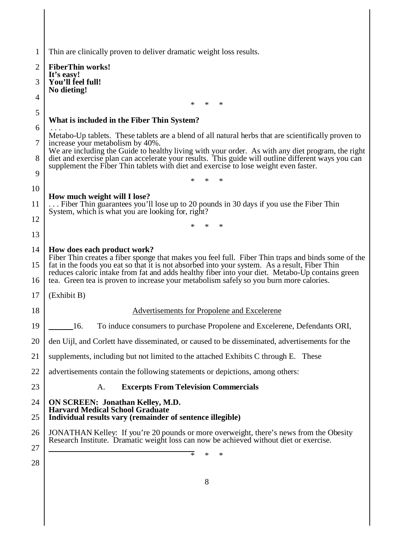| 1  | Thin are clinically proven to deliver dramatic weight loss results.                                                                                                                                                                                                                             |  |  |  |
|----|-------------------------------------------------------------------------------------------------------------------------------------------------------------------------------------------------------------------------------------------------------------------------------------------------|--|--|--|
| 2  | <b>FiberThin works!</b>                                                                                                                                                                                                                                                                         |  |  |  |
| 3  | It's easy!<br>You'll feel full!                                                                                                                                                                                                                                                                 |  |  |  |
| 4  | No dieting!                                                                                                                                                                                                                                                                                     |  |  |  |
| 5  | *<br>*<br>∗                                                                                                                                                                                                                                                                                     |  |  |  |
| 6  | What is included in the Fiber Thin System?                                                                                                                                                                                                                                                      |  |  |  |
| 7  | Metabo-Up tablets. These tablets are a blend of all natural herbs that are scientifically proven to<br>increase your metabolism by 40%.                                                                                                                                                         |  |  |  |
| 8  | We are including the Guide to healthy living with your order. As with any diet program, the right<br>diet and exercise plan can accelerate your results. This guide will outline different ways you can<br>supplement the Fiber Thin tablets with diet and exercise to lose weight even faster. |  |  |  |
| 9  |                                                                                                                                                                                                                                                                                                 |  |  |  |
| 10 | *<br>*<br>∗                                                                                                                                                                                                                                                                                     |  |  |  |
| 11 | How much weight will I lose?                                                                                                                                                                                                                                                                    |  |  |  |
|    | Fiber Thin guarantees you'll lose up to 20 pounds in 30 days if you use the Fiber Thin<br>System, which is what you are looking for, right?                                                                                                                                                     |  |  |  |
| 12 | *<br>$\ast$<br>∗                                                                                                                                                                                                                                                                                |  |  |  |
| 13 |                                                                                                                                                                                                                                                                                                 |  |  |  |
| 14 | How does each product work?<br>Fiber Thin creates a fiber sponge that makes you feel full. Fiber Thin traps and binds some of the                                                                                                                                                               |  |  |  |
| 15 | fat in the foods you eat so that it is not absorbed into your system. As a result, Fiber Thin<br>reduces caloric intake from fat and adds healthy fiber into your diet. Metabo-Up contains green                                                                                                |  |  |  |
| 16 | tea. Green tea is proven to increase your metabolism safely so you burn more calories.                                                                                                                                                                                                          |  |  |  |
| 17 | (Exhibit B)                                                                                                                                                                                                                                                                                     |  |  |  |
| 18 | Advertisements for Propolene and Excelerene                                                                                                                                                                                                                                                     |  |  |  |
| 19 | 16.<br>To induce consumers to purchase Propolene and Excelerene, Defendants ORI,                                                                                                                                                                                                                |  |  |  |
| 20 | den Uijl, and Corlett have disseminated, or caused to be disseminated, advertisements for the                                                                                                                                                                                                   |  |  |  |
| 21 | supplements, including but not limited to the attached Exhibits C through E. These                                                                                                                                                                                                              |  |  |  |
| 22 | advertisements contain the following statements or depictions, among others:                                                                                                                                                                                                                    |  |  |  |
| 23 | <b>Excerpts From Television Commercials</b><br>A.                                                                                                                                                                                                                                               |  |  |  |
| 24 | <b>ON SCREEN: Jonathan Kelley, M.D.</b><br><b>Harvard Medical School Graduate</b><br>Individual results vary (remainder of sentence illegible)                                                                                                                                                  |  |  |  |
| 25 |                                                                                                                                                                                                                                                                                                 |  |  |  |
| 26 | JONATHAN Kelley: If you're 20 pounds or more overweight, there's news from the Obesity                                                                                                                                                                                                          |  |  |  |
| 27 | Research Institute. Dramatic weight loss can now be achieved without diet or exercise.                                                                                                                                                                                                          |  |  |  |
| 28 | $\ast$<br>$\ast$<br>$\ast$                                                                                                                                                                                                                                                                      |  |  |  |
|    | 8                                                                                                                                                                                                                                                                                               |  |  |  |
|    |                                                                                                                                                                                                                                                                                                 |  |  |  |
|    |                                                                                                                                                                                                                                                                                                 |  |  |  |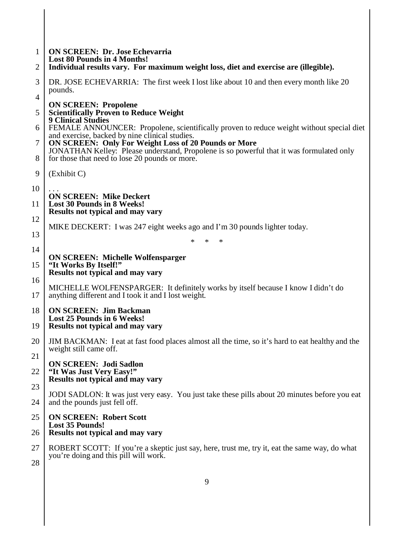| $\mathbf{1}$<br>2 | <b>ON SCREEN: Dr. Jose Echevarria</b><br><b>Lost 80 Pounds in 4 Months!</b><br>Individual results vary. For maximum weight loss, diet and exercise are (illegible). |  |  |
|-------------------|---------------------------------------------------------------------------------------------------------------------------------------------------------------------|--|--|
|                   |                                                                                                                                                                     |  |  |
| 3                 | DR. JOSE ECHEVARRIA: The first week I lost like about 10 and then every month like 20<br>pounds.                                                                    |  |  |
| 4                 | <b>ON SCREEN: Propolene</b>                                                                                                                                         |  |  |
| 5                 | <b>Scientifically Proven to Reduce Weight</b>                                                                                                                       |  |  |
| 6                 | <b>9 Clinical Studies</b><br>FEMALE ANNOUNCER: Propolene, scientifically proven to reduce weight without special diet                                               |  |  |
| 7                 | and exercise, backed by nine clinical studies.<br><b>ON SCREEN:</b> Only For Weight Loss of 20 Pounds or More                                                       |  |  |
| 8                 | JONATHAN Kelley: Please understand, Propolene is so powerful that it was formulated only<br>for those that need to lose 20 pounds or more.                          |  |  |
| 9                 | (Exhibit C)                                                                                                                                                         |  |  |
| 10                |                                                                                                                                                                     |  |  |
| 11                | <b>ON SCREEN: Mike Deckert</b><br><b>Lost 30 Pounds in 8 Weeks!</b>                                                                                                 |  |  |
| 12                | <b>Results not typical and may vary</b>                                                                                                                             |  |  |
| 13                | MIKE DECKERT: I was 247 eight weeks ago and I'm 30 pounds lighter today.                                                                                            |  |  |
| 14                | $\ast$<br>$\ast$<br>∗                                                                                                                                               |  |  |
|                   | <b>ON SCREEN: Michelle Wolfensparger</b><br>"It Works By Itself!"                                                                                                   |  |  |
| 15                | <b>Results not typical and may vary</b>                                                                                                                             |  |  |
| 16<br>17          | MICHELLE WOLFENSPARGER: It definitely works by itself because I know I didn't do<br>anything different and I took it and I lost weight.                             |  |  |
| 18                | <b>ON SCREEN: Jim Backman</b>                                                                                                                                       |  |  |
| 19                | <b>Lost 25 Pounds in 6 Weeks!</b><br><b>Results not typical and may vary</b>                                                                                        |  |  |
| 20                | JIM BACKMAN: I eat at fast food places almost all the time, so it's hard to eat healthy and the                                                                     |  |  |
| 21                | weight still came off.                                                                                                                                              |  |  |
|                   | <b>ON SCREEN: Jodi Sadlon</b>                                                                                                                                       |  |  |
| 22                | "It Was Just Very Easy!"<br><b>Results not typical and may vary</b>                                                                                                 |  |  |
| 23                | JODI SADLON: It was just very easy. You just take these pills about 20 minutes before you eat                                                                       |  |  |
| 24                | and the pounds just fell off.                                                                                                                                       |  |  |
| 25                | <b>ON SCREEN: Robert Scott</b><br>Lost 35 Pounds!                                                                                                                   |  |  |
| 26                | <b>Results not typical and may vary</b>                                                                                                                             |  |  |
| 27                | ROBERT SCOTT: If you're a skeptic just say, here, trust me, try it, eat the same way, do what                                                                       |  |  |
| 28                | you're doing and this pill will work.                                                                                                                               |  |  |
|                   | 9                                                                                                                                                                   |  |  |
|                   |                                                                                                                                                                     |  |  |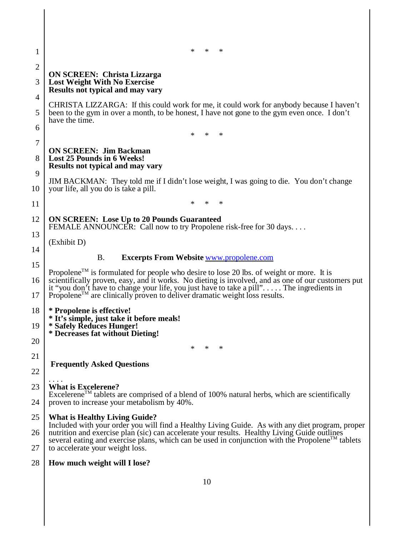| 1                   | $\ast$<br>∗<br>∗                                                                                                                                                                                                                                                                                                                                                                     |  |  |
|---------------------|--------------------------------------------------------------------------------------------------------------------------------------------------------------------------------------------------------------------------------------------------------------------------------------------------------------------------------------------------------------------------------------|--|--|
| $\overline{2}$<br>3 | <b>ON SCREEN: Christa Lizzarga</b><br><b>Lost Weight With No Exercise</b><br><b>Results not typical and may vary</b>                                                                                                                                                                                                                                                                 |  |  |
| 4<br>5              | CHRISTA LIZZARGA: If this could work for me, it could work for anybody because I haven't<br>been to the gym in over a month, to be honest, I have not gone to the gym even once. I don't<br>have the time.                                                                                                                                                                           |  |  |
| 6                   | *<br>$\ast$<br>∗                                                                                                                                                                                                                                                                                                                                                                     |  |  |
| 7<br>8<br>9         | <b>ON SCREEN: Jim Backman</b><br><b>Lost 25 Pounds in 6 Weeks!</b><br><b>Results not typical and may vary</b>                                                                                                                                                                                                                                                                        |  |  |
| 10                  | JIM BACKMAN: They told me if I didn't lose weight, I was going to die. You don't change<br>your life, all you do is take a pill.                                                                                                                                                                                                                                                     |  |  |
| 11                  | $\ast$<br>*<br>∗                                                                                                                                                                                                                                                                                                                                                                     |  |  |
| 12                  | <b>ON SCREEN:</b> Lose Up to 20 Pounds Guaranteed<br>FEMALE ANNOUNCER: Call now to try Propolene risk-free for 30 days                                                                                                                                                                                                                                                               |  |  |
| 13<br>14            | (Exhibit D)                                                                                                                                                                                                                                                                                                                                                                          |  |  |
| 15                  | <b>B.</b><br><b>Excerpts From Website www.propolene.com</b>                                                                                                                                                                                                                                                                                                                          |  |  |
| 16<br>17            | Propolene <sup>TM</sup> is formulated for people who desire to lose 20 lbs. of weight or more. It is<br>scientifically proven, easy, and it works. No dieting is involved, and as one of our customers put<br>it "you don't have to change your life, you just have to take a pill". The ingredients in<br>Propolene™ are clinically proven to deliver dramatic weight loss results. |  |  |
| 18<br>19            | * Propolene is effective!<br>* It's simple, just take it before meals!<br>* Safely Reduces Hunger!<br>* Decreases fat without Dieting!                                                                                                                                                                                                                                               |  |  |
| 20                  | $\ast$<br>$\ast$<br>∗                                                                                                                                                                                                                                                                                                                                                                |  |  |
| 21<br>22            | <b>Frequently Asked Questions</b>                                                                                                                                                                                                                                                                                                                                                    |  |  |
| 23                  | <b>What is Excelerene?</b>                                                                                                                                                                                                                                                                                                                                                           |  |  |
| 24                  | Excelerene <sup>TM</sup> tablets are comprised of a blend of 100% natural herbs, which are scientifically<br>proven to increase your metabolism by 40%.                                                                                                                                                                                                                              |  |  |
| 25                  | <b>What is Healthy Living Guide?</b>                                                                                                                                                                                                                                                                                                                                                 |  |  |
| 26                  | Included with your order you will find a Healthy Living Guide. As with any diet program, proper<br>nutrition and exercise plan (sic) can accelerate your results. Healthy Living Guide outlines<br>several eating and exercise plans, which can be used in conjunction with the Propolene™ tablets                                                                                   |  |  |
| 27                  | to accelerate your weight loss.                                                                                                                                                                                                                                                                                                                                                      |  |  |
| 28                  | How much weight will I lose?                                                                                                                                                                                                                                                                                                                                                         |  |  |
|                     | 10                                                                                                                                                                                                                                                                                                                                                                                   |  |  |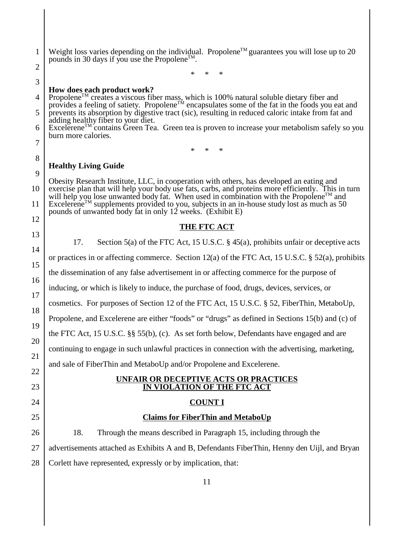| 1              | Weight loss varies depending on the individual. Propolene <sup>TM</sup> guarantees you will lose up to 20<br>pounds in 30 days if you use the Propolene™.                                                                                                                                                                                                                                                                                                                                           |  |  |  |
|----------------|-----------------------------------------------------------------------------------------------------------------------------------------------------------------------------------------------------------------------------------------------------------------------------------------------------------------------------------------------------------------------------------------------------------------------------------------------------------------------------------------------------|--|--|--|
| $\overline{2}$ | *<br>∗<br>∗                                                                                                                                                                                                                                                                                                                                                                                                                                                                                         |  |  |  |
| 3              | How does each product work?                                                                                                                                                                                                                                                                                                                                                                                                                                                                         |  |  |  |
| 4              | Propolene <sup>TM</sup> creates a viscous fiber mass, which is 100% natural soluble dietary fiber and provides a feeling of satiety. Propolene <sup>TM</sup> encapsulates some of the fat in the foods you eat and                                                                                                                                                                                                                                                                                  |  |  |  |
| 5              | prevents its absorption by digestive tract (sic), resulting in reduced caloric intake from fat and<br>adding healthy fiber to your diet.<br>Excelerene <sup>TM</sup> contains Green Tea. Green tea is proven to increase your metabolism safely so you<br>burn more calories.<br>*<br>*<br>∗                                                                                                                                                                                                        |  |  |  |
| 6              |                                                                                                                                                                                                                                                                                                                                                                                                                                                                                                     |  |  |  |
| 7              |                                                                                                                                                                                                                                                                                                                                                                                                                                                                                                     |  |  |  |
| 8              | <b>Healthy Living Guide</b>                                                                                                                                                                                                                                                                                                                                                                                                                                                                         |  |  |  |
| 9              | Obesity Research Institute, LLC, in cooperation with others, has developed an eating and<br>exercise plan that will help your body use fats, carbs, and proteins more efficiently. This in turn<br>will help you lose unwanted body fat. When used in combination with the Propolene <sup>TM</sup> and<br>Excelerene <sup>TM</sup> supplements provided to you, subjects in an in-house study lost as much as 50<br>pounds of unwanted body fat in only 12 weeks. (Exhibit E)<br><b>THE FTC ACT</b> |  |  |  |
| 10             |                                                                                                                                                                                                                                                                                                                                                                                                                                                                                                     |  |  |  |
| 11<br>12       |                                                                                                                                                                                                                                                                                                                                                                                                                                                                                                     |  |  |  |
| 13             |                                                                                                                                                                                                                                                                                                                                                                                                                                                                                                     |  |  |  |
| 14             | 17.<br>Section 5(a) of the FTC Act, 15 U.S.C. $\S$ 45(a), prohibits unfair or deceptive acts                                                                                                                                                                                                                                                                                                                                                                                                        |  |  |  |
|                | or practices in or affecting commerce. Section 12(a) of the FTC Act, 15 U.S.C. § 52(a), prohibits                                                                                                                                                                                                                                                                                                                                                                                                   |  |  |  |
| 15             | the dissemination of any false advertisement in or affecting commerce for the purpose of                                                                                                                                                                                                                                                                                                                                                                                                            |  |  |  |
| 16             | inducing, or which is likely to induce, the purchase of food, drugs, devices, services, or                                                                                                                                                                                                                                                                                                                                                                                                          |  |  |  |
| 17             | cosmetics. For purposes of Section 12 of the FTC Act, 15 U.S.C. § 52, FiberThin, MetaboUp,                                                                                                                                                                                                                                                                                                                                                                                                          |  |  |  |
| 18             | Propolene, and Excelerene are either "foods" or "drugs" as defined in Sections 15(b) and (c) of                                                                                                                                                                                                                                                                                                                                                                                                     |  |  |  |
| 19             | the FTC Act, 15 U.S.C. $\S$ 55(b), (c). As set forth below, Defendants have engaged and are                                                                                                                                                                                                                                                                                                                                                                                                         |  |  |  |
| 20             | continuing to engage in such unlawful practices in connection with the advertising, marketing,                                                                                                                                                                                                                                                                                                                                                                                                      |  |  |  |
| 21             | and sale of FiberThin and MetaboUp and/or Propolene and Excelerene.                                                                                                                                                                                                                                                                                                                                                                                                                                 |  |  |  |
| 22<br>23       | <b>UNFAIR OR DECEPTIVE ACTS OR PRACTICES</b>                                                                                                                                                                                                                                                                                                                                                                                                                                                        |  |  |  |
|                | IN VIOLATION OF THE FTC ACT<br><b>COUNT I</b>                                                                                                                                                                                                                                                                                                                                                                                                                                                       |  |  |  |
| 24             |                                                                                                                                                                                                                                                                                                                                                                                                                                                                                                     |  |  |  |
| 25             | <b>Claims for FiberThin and MetaboUp</b>                                                                                                                                                                                                                                                                                                                                                                                                                                                            |  |  |  |
| 26             | 18.<br>Through the means described in Paragraph 15, including through the                                                                                                                                                                                                                                                                                                                                                                                                                           |  |  |  |
| 27             | advertisements attached as Exhibits A and B, Defendants FiberThin, Henny den Uijl, and Bryan                                                                                                                                                                                                                                                                                                                                                                                                        |  |  |  |
| 28             | Corlett have represented, expressly or by implication, that:                                                                                                                                                                                                                                                                                                                                                                                                                                        |  |  |  |
|                | 11                                                                                                                                                                                                                                                                                                                                                                                                                                                                                                  |  |  |  |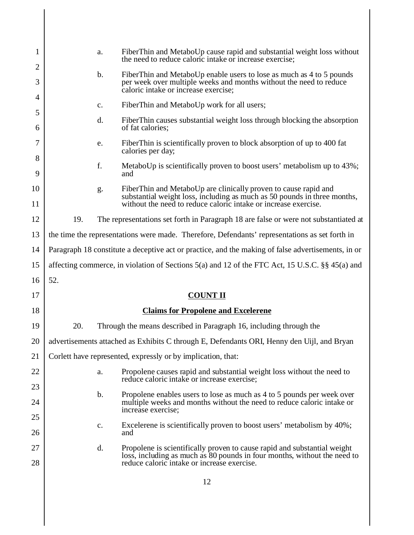| 1                   | a.                                                                                                                                                                                                  | the need to reduce caloric intake or increase exercise;                                                               | FiberThin and MetaboUp cause rapid and substantial weight loss without                                                                               |
|---------------------|-----------------------------------------------------------------------------------------------------------------------------------------------------------------------------------------------------|-----------------------------------------------------------------------------------------------------------------------|------------------------------------------------------------------------------------------------------------------------------------------------------|
| $\overline{2}$<br>3 | FiberThin and MetaboUp enable users to lose as much as 4 to 5 pounds<br>$\mathbf b$ .<br>per week over multiple weeks and months without the need to reduce<br>caloric intake or increase exercise; |                                                                                                                       |                                                                                                                                                      |
| $\overline{4}$      | FiberThin and MetaboUp work for all users;<br>c.                                                                                                                                                    |                                                                                                                       |                                                                                                                                                      |
| 5                   | d.                                                                                                                                                                                                  |                                                                                                                       |                                                                                                                                                      |
| 6                   | FiberThin causes substantial weight loss through blocking the absorption<br>of fat calories;                                                                                                        |                                                                                                                       |                                                                                                                                                      |
| 7                   | FiberThin is scientifically proven to block absorption of up to 400 fat<br>e.<br>calories per day;                                                                                                  |                                                                                                                       |                                                                                                                                                      |
| 8<br>9              | f.                                                                                                                                                                                                  | and                                                                                                                   | MetaboUp is scientifically proven to boost users' metabolism up to 43%;                                                                              |
| 10                  | g.                                                                                                                                                                                                  | FiberThin and MetaboUp are clinically proven to cause rapid and                                                       |                                                                                                                                                      |
| 11                  |                                                                                                                                                                                                     | without the need to reduce caloric intake or increase exercise.                                                       | substantial weight loss, including as much as 50 pounds in three months,                                                                             |
| 12                  | 19.<br>The representations set forth in Paragraph 18 are false or were not substantiated at                                                                                                         |                                                                                                                       |                                                                                                                                                      |
| 13                  | the time the representations were made. Therefore, Defendants' representations as set forth in                                                                                                      |                                                                                                                       |                                                                                                                                                      |
| 14                  | Paragraph 18 constitute a deceptive act or practice, and the making of false advertisements, in or                                                                                                  |                                                                                                                       |                                                                                                                                                      |
| 15                  | affecting commerce, in violation of Sections $5(a)$ and 12 of the FTC Act, 15 U.S.C. §§ 45(a) and                                                                                                   |                                                                                                                       |                                                                                                                                                      |
| 16                  | 52.                                                                                                                                                                                                 |                                                                                                                       |                                                                                                                                                      |
| 17                  | <b>COUNT II</b>                                                                                                                                                                                     |                                                                                                                       |                                                                                                                                                      |
| 18                  | <b>Claims for Propolene and Excelerene</b>                                                                                                                                                          |                                                                                                                       |                                                                                                                                                      |
| 19                  | 20.<br>Through the means described in Paragraph 16, including through the                                                                                                                           |                                                                                                                       |                                                                                                                                                      |
| 20                  | advertisements attached as Exhibits C through E, Defendants ORI, Henny den Uijl, and Bryan                                                                                                          |                                                                                                                       |                                                                                                                                                      |
| 21                  | Corlett have represented, expressly or by implication, that:                                                                                                                                        |                                                                                                                       |                                                                                                                                                      |
| 22                  | a.                                                                                                                                                                                                  | Propolene causes rapid and substantial weight loss without the need to<br>reduce caloric intake or increase exercise; |                                                                                                                                                      |
| 23                  | $\mathbf b$ .                                                                                                                                                                                       |                                                                                                                       | Propolene enables users to lose as much as 4 to 5 pounds per week over                                                                               |
| 24                  |                                                                                                                                                                                                     | increase exercise;                                                                                                    | multiple weeks and months without the need to reduce caloric intake or                                                                               |
| 25<br>26            | c.                                                                                                                                                                                                  | Excelerene is scientifically proven to boost users' metabolism by 40%;<br>and                                         |                                                                                                                                                      |
| 27<br>28            | d.                                                                                                                                                                                                  | reduce caloric intake or increase exercise.                                                                           | Propolene is scientifically proven to cause rapid and substantial weight<br>loss, including as much as 80 pounds in four months, without the need to |
|                     |                                                                                                                                                                                                     |                                                                                                                       |                                                                                                                                                      |
|                     |                                                                                                                                                                                                     | 12                                                                                                                    |                                                                                                                                                      |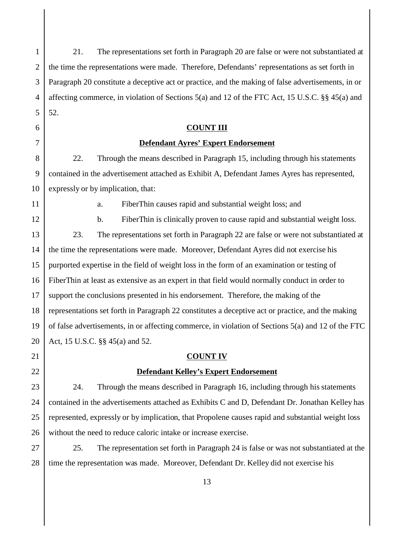1 2 3 4 5 21. The representations set forth in Paragraph 20 are false or were not substantiated at the time the representations were made. Therefore, Defendants' representations as set forth in Paragraph 20 constitute a deceptive act or practice, and the making of false advertisements, in or affecting commerce, in violation of Sections 5(a) and 12 of the FTC Act, 15 U.S.C. §§ 45(a) and 52.

#### **COUNT III**

### **Defendant Ayres' Expert Endorsement**

22. Through the means described in Paragraph 15, including through his statements contained in the advertisement attached as Exhibit A, Defendant James Ayres has represented, expressly or by implication, that:

10 11

12

21

22

6

7

8

9

a. FiberThin causes rapid and substantial weight loss; and

b. FiberThin is clinically proven to cause rapid and substantial weight loss.

13 14 15 16 17 18 19 20 23. The representations set forth in Paragraph 22 are false or were not substantiated at the time the representations were made. Moreover, Defendant Ayres did not exercise his purported expertise in the field of weight loss in the form of an examination or testing of FiberThin at least as extensive as an expert in that field would normally conduct in order to support the conclusions presented in his endorsement. Therefore, the making of the representations set forth in Paragraph 22 constitutes a deceptive act or practice, and the making of false advertisements, in or affecting commerce, in violation of Sections 5(a) and 12 of the FTC Act, 15 U.S.C. §§ 45(a) and 52.

#### **COUNT IV**

## **Defendant Kelley's Expert Endorsement**

23 24 25 26 24. Through the means described in Paragraph 16, including through his statements contained in the advertisements attached as Exhibits C and D, Defendant Dr. Jonathan Kelley has represented, expressly or by implication, that Propolene causes rapid and substantial weight loss without the need to reduce caloric intake or increase exercise.

27 28 25. The representation set forth in Paragraph 24 is false or was not substantiated at the time the representation was made. Moreover, Defendant Dr. Kelley did not exercise his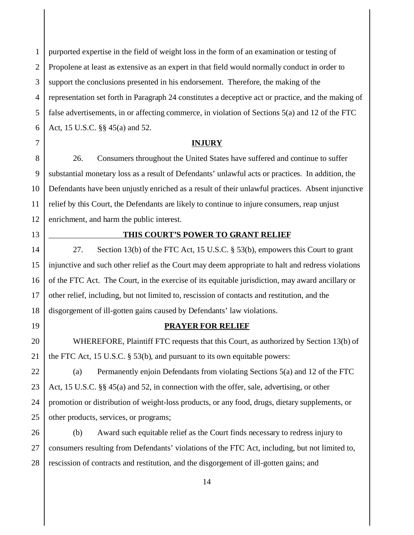1 2 3 4 5 6 purported expertise in the field of weight loss in the form of an examination or testing of Propolene at least as extensive as an expert in that field would normally conduct in order to support the conclusions presented in his endorsement. Therefore, the making of the representation set forth in Paragraph 24 constitutes a deceptive act or practice, and the making of false advertisements, in or affecting commerce, in violation of Sections 5(a) and 12 of the FTC Act, 15 U.S.C. §§ 45(a) and 52.

#### **INJURY**

8 9 10 12 26. Consumers throughout the United States have suffered and continue to suffer substantial monetary loss as a result of Defendants' unlawful acts or practices. In addition, the Defendants have been unjustly enriched as a result of their unlawful practices. Absent injunctive relief by this Court, the Defendants are likely to continue to injure consumers, reap unjust enrichment, and harm the public interest.

13

14

15

16

17

18

20

21

11

7

# **THIS COURT'S POWER TO GRANT RELIEF**

27. Section 13(b) of the FTC Act, 15 U.S.C. § 53(b), empowers this Court to grant injunctive and such other relief as the Court may deem appropriate to halt and redress violations of the FTC Act. The Court, in the exercise of its equitable jurisdiction, may award ancillary or other relief, including, but not limited to, rescission of contacts and restitution, and the disgorgement of ill-gotten gains caused by Defendants' law violations.

19

## **PRAYER FOR RELIEF**

WHEREFORE, Plaintiff FTC requests that this Court, as authorized by Section 13(b) of the FTC Act, 15 U.S.C. § 53(b), and pursuant to its own equitable powers:

22 23 24 25 (a) Permanently enjoin Defendants from violating Sections 5(a) and 12 of the FTC Act, 15 U.S.C. §§ 45(a) and 52, in connection with the offer, sale, advertising, or other promotion or distribution of weight-loss products, or any food, drugs, dietary supplements, or other products, services, or programs;

26 27 28 (b) Award such equitable relief as the Court finds necessary to redress injury to consumers resulting from Defendants' violations of the FTC Act, including, but not limited to, rescission of contracts and restitution, and the disgorgement of ill-gotten gains; and